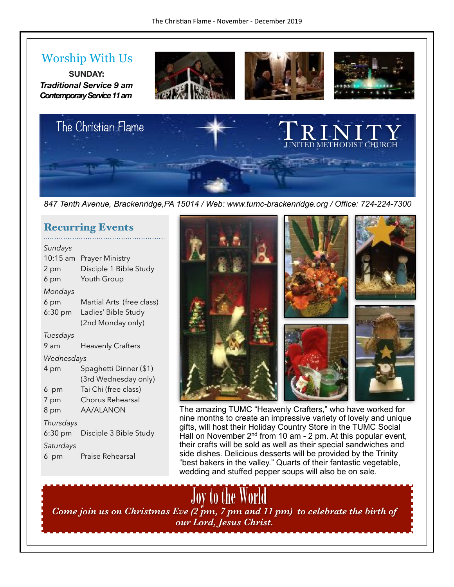### Worship With Us

**SUNDAY:**  *Traditional Service 9 am Contemporary Service 11 am* 









*847 Tenth Avenue, Brackenridge,PA 15014 / Web: www.tumc-brackenridge.org / Office: 724-224-7300* 

#### Recurring Events

. . . . . . . . . . . . . . . . . . .

| Sundays<br>10:15 am<br>2 pm<br>6 pm | <b>Prayer Ministry</b><br>Disciple 1 Bible Study<br>Youth Group |
|-------------------------------------|-----------------------------------------------------------------|
| Mondays<br>6 pm                     | Martial Arts (free class)                                       |
| $6:30$ pm                           | Ladies' Bible Study<br>(2nd Monday only)                        |
| Tuesdays                            |                                                                 |
| 9 am                                | <b>Heavenly Crafters</b>                                        |
| Wednesdays                          |                                                                 |
|                                     |                                                                 |
| 4 pm                                | Spaghetti Dinner (\$1)<br>(3rd Wednesday only)                  |
| 6 pm                                | Tai Chi (free class)                                            |
| 7 pm                                | Chorus Rehearsal                                                |
| 8 pm                                | AA/ALANON                                                       |
| Thursdays                           |                                                                 |
| $6:30$ pm                           | Disciple 3 Bible Study                                          |
| Saturdays                           |                                                                 |



The amazing TUMC "Heavenly Crafters," who have worked for nine months to create an impressive variety of lovely and unique gifts, will host their Holiday Country Store in the TUMC Social Hall on November  $2<sup>nd</sup>$  from 10 am - 2 pm. At this popular event, their crafts will be sold as well as their special sandwiches and side dishes. Delicious desserts will be provided by the Trinity "best bakers in the valley." Quarts of their fantastic vegetable, wedding and stuffed pepper soups will also be on sale.

Joy to the World<br>*Come join us on Christmas Eve (2 pm, 7 pm and 11 pm) to celebrate the birth of our Lord, Jesus Christ.*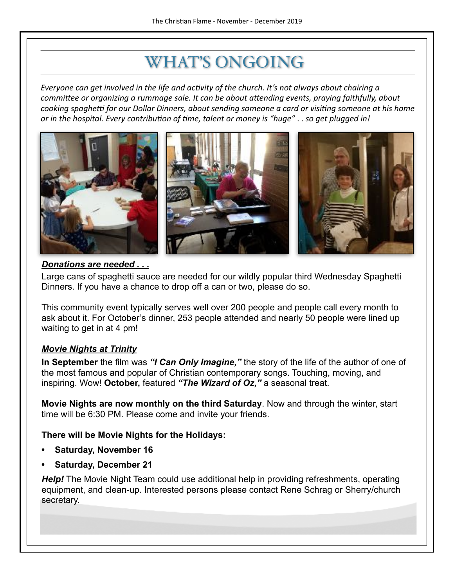### WHAT'S ONGOING

*Everyone can get involved in the life and activity of the church. It's not always about chairing a committee or organizing a rummage sale. It can be about attending events, praying faithfully, about cooking spaghetti for our Dollar Dinners, about sending someone a card or visiting someone at his home or* in the hospital. Every contribution of time, talent or money is "huge" . . so get plugged in!



#### *Donations are needed . . .*

Large cans of spaghetti sauce are needed for our wildly popular third Wednesday Spaghetti Dinners. If you have a chance to drop off a can or two, please do so.

This community event typically serves well over 200 people and people call every month to ask about it. For October's dinner, 253 people attended and nearly 50 people were lined up waiting to get in at 4 pm!

#### *Movie Nights at Trinity*

**In September** the film was *"I Can Only Imagine,"* the story of the life of the author of one of the most famous and popular of Christian contemporary songs. Touching, moving, and inspiring. Wow! **October,** featured *"The Wizard of Oz,"* a seasonal treat.

**Movie Nights are now monthly on the third Saturday**. Now and through the winter, start time will be 6:30 PM. Please come and invite your friends.

#### **There will be Movie Nights for the Holidays:**

- **• Saturday, November 16**
- **• Saturday, December 21**

*Help!* The Movie Night Team could use additional help in providing refreshments, operating equipment, and clean-up. Interested persons please contact Rene Schrag or Sherry/church secretary.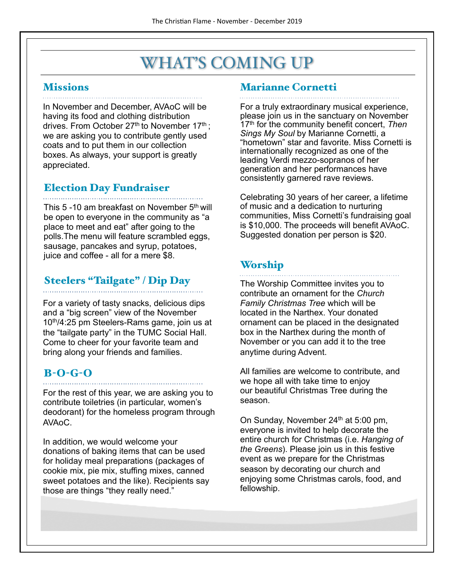### WHAT'S COMING UP

#### **Missions**

In November and December, AVAoC will be having its food and clothing distribution drives. From October 27<sup>th</sup> to November 17<sup>th</sup>; we are asking you to contribute gently used coats and to put them in our collection boxes. As always, your support is greatly appreciated.

#### Election Day Fundraiser

This 5 -10 am breakfast on November 5<sup>th</sup> will be open to everyone in the community as "a place to meet and eat" after going to the polls.The menu will feature scrambled eggs, sausage, pancakes and syrup, potatoes, juice and coffee - all for a mere \$8.

#### Steelers "Tailgate" / Dip Day

For a variety of tasty snacks, delicious dips and a "big screen" view of the November 10<sup>th</sup>/4:25 pm Steelers-Rams game, join us at the "tailgate party" in the TUMC Social Hall. Come to cheer for your favorite team and bring along your friends and families.

#### B-O-G-O

For the rest of this year, we are asking you to contribute toiletries (in particular, women's deodorant) for the homeless program through AVAoC.

In addition, we would welcome your donations of baking items that can be used for holiday meal preparations (packages of cookie mix, pie mix, stuffing mixes, canned sweet potatoes and the like). Recipients say those are things "they really need."

#### Marianne Cornetti

For a truly extraordinary musical experience, please join us in the sanctuary on November 17th for the community benefit concert, *Then Sings My Soul* by Marianne Cornetti, a "hometown" star and favorite. Miss Cornetti is internationally recognized as one of the leading Verdi mezzo-sopranos of her generation and her performances have consistently garnered rave reviews.

Celebrating 30 years of her career, a lifetime of music and a dedication to nurturing communities, Miss Cornetti's fundraising goal is \$10,000. The proceeds will benefit AVAoC. Suggested donation per person is \$20.

#### Worship

The Worship Committee invites you to contribute an ornament for the *Church Family Christmas Tree* which will be located in the Narthex. Your donated ornament can be placed in the designated box in the Narthex during the month of November or you can add it to the tree anytime during Advent.

All families are welcome to contribute, and we hope all with take time to enjoy our beautiful Christmas Tree during the season.

On Sunday, November  $24<sup>th</sup>$  at 5:00 pm, everyone is invited to help decorate the entire church for Christmas (i.e. *Hanging of the Greens*). Please join us in this festive event as we prepare for the Christmas season by decorating our church and enjoying some Christmas carols, food, and fellowship.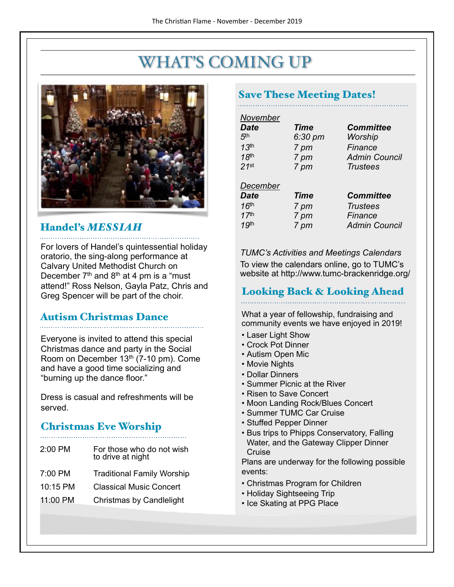### WHAT'S COMING UP

![](_page_3_Picture_2.jpeg)

#### Handel's *MESSIAH*

For lovers of Handel's quintessential holiday oratorio, the sing-along performance at Calvary United Methodist Church on December  $7<sup>th</sup>$  and  $8<sup>th</sup>$  at 4 pm is a "must" attend!" Ross Nelson, Gayla Patz, Chris and Greg Spencer will be part of the choir.

### Autism Christmas Dance

Everyone is invited to attend this special Christmas dance and party in the Social Room on December 13th (7-10 pm). Come and have a good time socializing and "burning up the dance floor."

Dress is casual and refreshments will be served.

#### Christmas Eve Worship

- 2:00 PM For those who do not wish
	- to drive at night
- 7:00 PM Traditional Family Worship
- 10:15 PM Classical Music Concert
- 11:00 PM Christmas by Candlelight

#### Save These Meeting Dates!

| November<br><b>Date</b><br>5 <sup>th</sup><br>13 <sup>th</sup><br>18 <sup>th</sup><br>$21$ <sup>st</sup> | Time<br>6:30 pm<br>7 pm<br>7 pm<br>7 pm | <b>Committee</b><br>Worship<br>Finance<br><b>Admin Council</b><br>Trustees |
|----------------------------------------------------------------------------------------------------------|-----------------------------------------|----------------------------------------------------------------------------|
| December<br><b>Date</b><br>16 <sup>th</sup><br>17 <sup>th</sup>                                          | Time<br>7 pm<br>7 pm                    | <b>Committee</b><br><b>Trustees</b><br>Finance                             |
| 19 <sup>th</sup>                                                                                         | 7 pm                                    | <b>Admin Council</b>                                                       |

#### *TUMC's Activities and Meetings Calendars*

To view the calendars online, go to TUMC's website at http://www.tumc-brackenridge.org/

#### Looking Back & Looking Ahead

What a year of fellowship, fundraising and community events we have enjoyed in 2019!

- Laser Light Show
- Crock Pot Dinner
- Autism Open Mic
- Movie Nights
- Dollar Dinners
- Summer Picnic at the River
- Risen to Save Concert
- Moon Landing Rock/Blues Concert
- Summer TUMC Car Cruise
- Stuffed Pepper Dinner
- Bus trips to Phipps Conservatory, Falling Water, and the Gateway Clipper Dinner Cruise

Plans are underway for the following possible events:

- Christmas Program for Children
- Holiday Sightseeing Trip
- Ice Skating at PPG Place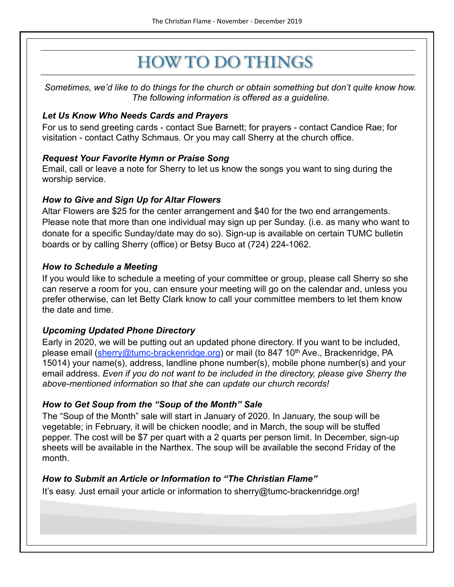## HOW TO DO THINGS

*Sometimes, we'd like to do things for the church or obtain something but don't quite know how. The following information is offered as a guideline.* 

#### *Let Us Know Who Needs Cards and Prayers*

For us to send greeting cards - contact Sue Barnett; for prayers - contact Candice Rae; for visitation - contact Cathy Schmaus. Or you may call Sherry at the church office.

#### *Request Your Favorite Hymn or Praise Song*

Email, call or leave a note for Sherry to let us know the songs you want to sing during the worship service.

#### *How to Give and Sign Up for Altar Flowers*

Altar Flowers are \$25 for the center arrangement and \$40 for the two end arrangements. Please note that more than one individual may sign up per Sunday. (i.e. as many who want to donate for a specific Sunday/date may do so). Sign-up is available on certain TUMC bulletin boards or by calling Sherry (office) or Betsy Buco at (724) 224-1062.

#### *How to Schedule a Meeting*

If you would like to schedule a meeting of your committee or group, please call Sherry so she can reserve a room for you, can ensure your meeting will go on the calendar and, unless you prefer otherwise, can let Betty Clark know to call your committee members to let them know the date and time.

#### *Upcoming Updated Phone Directory*

Early in 2020, we will be putting out an updated phone directory. If you want to be included, please email [\(sherry@tumc-brackenridge.org](mailto:sherry@tumc-brackenridge.org)) or mail (to 847 10<sup>th</sup> Ave., Brackenridge, PA 15014) your name(s), address, landline phone number(s), mobile phone number(s) and your email address. *Even if you do not want to be included in the directory, please give Sherry the above-mentioned information so that she can update our church records!* 

#### *How to Get Soup from the "Soup of the Month" Sale*

The "Soup of the Month" sale will start in January of 2020. In January, the soup will be vegetable; in February, it will be chicken noodle; and in March, the soup will be stuffed pepper. The cost will be \$7 per quart with a 2 quarts per person limit. In December, sign-up sheets will be available in the Narthex. The soup will be available the second Friday of the month.

#### *How to Submit an Article or Information to "The Christian Flame"*

It's easy. Just email your article or information to sherry@tumc-brackenridge.org!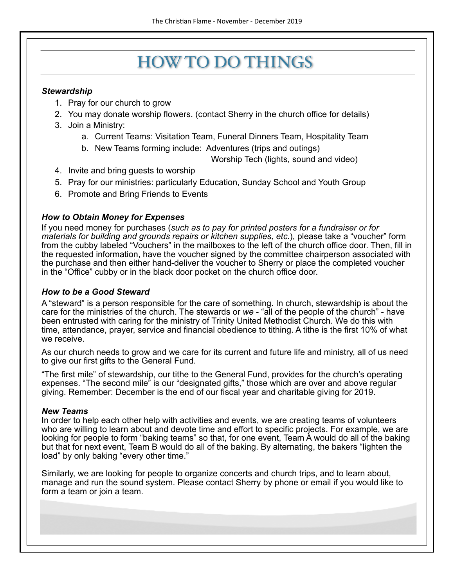### HOW TO DO THINGS

#### *Stewardship*

- 1. Pray for our church to grow
- 2. You may donate worship flowers. (contact Sherry in the church office for details)
- 3. Join a Ministry:
	- a. Current Teams: Visitation Team, Funeral Dinners Team, Hospitality Team
	- b. New Teams forming include: Adventures (trips and outings)

Worship Tech (lights, sound and video)

- 4. Invite and bring guests to worship
- 5. Pray for our ministries: particularly Education, Sunday School and Youth Group
- 6. Promote and Bring Friends to Events

#### *How to Obtain Money for Expenses*

If you need money for purchases (*such as to pay for printed posters for a fundraiser or for materials for building and grounds repairs or kitchen supplies, etc.*), please take a "voucher" form from the cubby labeled "Vouchers" in the mailboxes to the left of the church office door. Then, fill in the requested information, have the voucher signed by the committee chairperson associated with the purchase and then either hand-deliver the voucher to Sherry or place the completed voucher in the "Office" cubby or in the black door pocket on the church office door.

#### *How to be a Good Steward*

A "steward" is a person responsible for the care of something. In church, stewardship is about the care for the ministries of the church. The stewards or *we* - "all of the people of the church" - have been entrusted with caring for the ministry of Trinity United Methodist Church. We do this with time, attendance, prayer, service and financial obedience to tithing. A tithe is the first 10% of what we receive.

As our church needs to grow and we care for its current and future life and ministry, all of us need to give our first gifts to the General Fund.

"The first mile" of stewardship, our tithe to the General Fund, provides for the church's operating expenses. "The second mile" is our "designated gifts," those which are over and above regular giving. Remember: December is the end of our fiscal year and charitable giving for 2019.

#### *New Teams*

In order to help each other help with activities and events, we are creating teams of volunteers who are willing to learn about and devote time and effort to specific projects. For example, we are looking for people to form "baking teams" so that, for one event, Team A would do all of the baking but that for next event, Team B would do all of the baking. By alternating, the bakers "lighten the load" by only baking "every other time."

Similarly, we are looking for people to organize concerts and church trips, and to learn about, manage and run the sound system. Please contact Sherry by phone or email if you would like to form a team or join a team.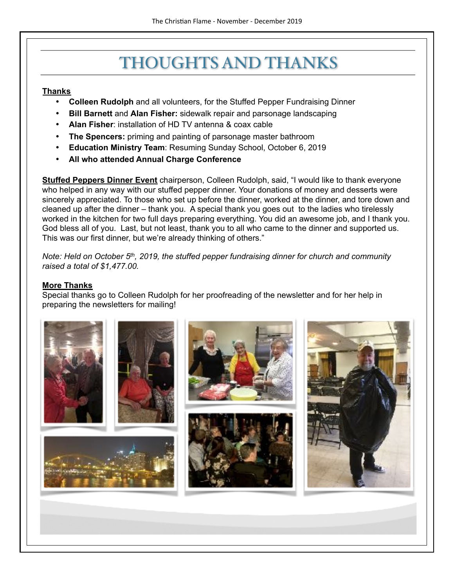### THOUGHTS AND THANKS

#### **Thanks**

- **Colleen Rudolph** and all volunteers, for the Stuffed Pepper Fundraising Dinner
- **Bill Barnett** and **Alan Fisher:** sidewalk repair and parsonage landscaping
- **Alan Fisher**: installation of HD TV antenna & coax cable
- **The Spencers:** priming and painting of parsonage master bathroom
- **Education Ministry Team**: Resuming Sunday School, October 6, 2019
- **All who attended Annual Charge Conference**

**Stuffed Peppers Dinner Event** chairperson, Colleen Rudolph, said, "I would like to thank everyone who helped in any way with our stuffed pepper dinner. Your donations of money and desserts were sincerely appreciated. To those who set up before the dinner, worked at the dinner, and tore down and cleaned up after the dinner – thank you. A special thank you goes out to the ladies who tirelessly worked in the kitchen for two full days preparing everything. You did an awesome job, and I thank you. God bless all of you. Last, but not least, thank you to all who came to the dinner and supported us. This was our first dinner, but we're already thinking of others."

*Note: Held on October 5th, 2019, the stuffed pepper fundraising dinner for church and community raised a total of \$1,477.00.* 

#### **More Thanks**

Special thanks go to Colleen Rudolph for her proofreading of the newsletter and for her help in preparing the newsletters for mailing!

![](_page_6_Picture_13.jpeg)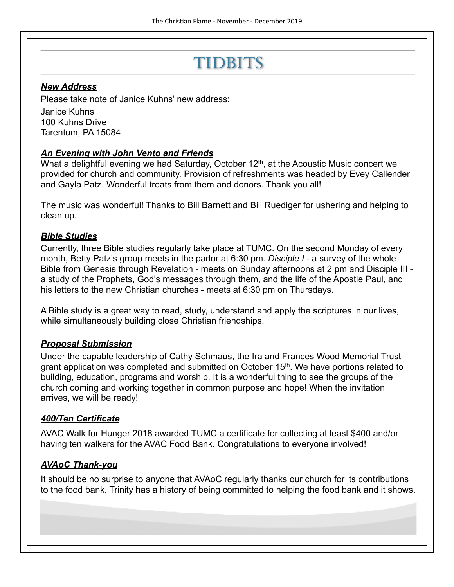### TIDBITS

#### *New Address*

Please take note of Janice Kuhns' new address:

Janice Kuhns 100 Kuhns Drive Tarentum, PA 15084

#### *An Evening with John Vento and Friends*

What a delightful evening we had Saturday, October 12<sup>th</sup>, at the Acoustic Music concert we provided for church and community. Provision of refreshments was headed by Evey Callender and Gayla Patz. Wonderful treats from them and donors. Thank you all!

The music was wonderful! Thanks to Bill Barnett and Bill Ruediger for ushering and helping to clean up.

#### *Bible Studies*

Currently, three Bible studies regularly take place at TUMC. On the second Monday of every month, Betty Patz's group meets in the parlor at 6:30 pm. *Disciple I* - a survey of the whole Bible from Genesis through Revelation - meets on Sunday afternoons at 2 pm and Disciple III a study of the Prophets, God's messages through them, and the life of the Apostle Paul, and his letters to the new Christian churches - meets at 6:30 pm on Thursdays.

A Bible study is a great way to read, study, understand and apply the scriptures in our lives, while simultaneously building close Christian friendships.

#### *Proposal Submission*

Under the capable leadership of Cathy Schmaus, the Ira and Frances Wood Memorial Trust grant application was completed and submitted on October 15<sup>th</sup>. We have portions related to building, education, programs and worship. It is a wonderful thing to see the groups of the church coming and working together in common purpose and hope! When the invitation arrives, we will be ready!

#### *400/Ten Certificate*

AVAC Walk for Hunger 2018 awarded TUMC a certificate for collecting at least \$400 and/or having ten walkers for the AVAC Food Bank. Congratulations to everyone involved!

#### *AVAoC Thank-you*

It should be no surprise to anyone that AVAoC regularly thanks our church for its contributions to the food bank. Trinity has a history of being committed to helping the food bank and it shows.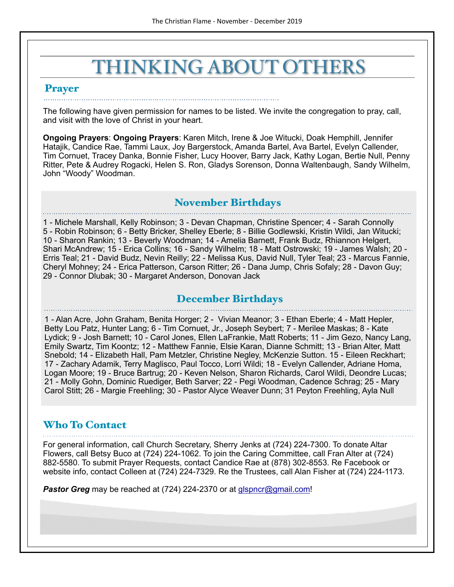# THINKING ABOUT OTHERS

#### Prayer

The following have given permission for names to be listed. We invite the congregation to pray, call, and visit with the love of Christ in your heart.

**Ongoing Prayers**: **Ongoing Prayers**: Karen Mitch, Irene & Joe Witucki, Doak Hemphill, Jennifer Hatajik, Candice Rae, Tammi Laux, Joy Bargerstock, Amanda Bartel, Ava Bartel, Evelyn Callender, Tim Cornuet, Tracey Danka, Bonnie Fisher, Lucy Hoover, Barry Jack, Kathy Logan, Bertie Null, Penny Ritter, Pete & Audrey Rogacki, Helen S. Ron, Gladys Sorenson, Donna Waltenbaugh, Sandy Wilhelm, John "Woody" Woodman.

#### November Birthdays

1 - Michele Marshall, Kelly Robinson; 3 - Devan Chapman, Christine Spencer; 4 - Sarah Connolly 5 - Robin Robinson; 6 - Betty Bricker, Shelley Eberle; 8 - Billie Godlewski, Kristin Wildi, Jan Witucki; 10 - Sharon Rankin; 13 - Beverly Woodman; 14 - Amelia Barnett, Frank Budz, Rhiannon Helgert, Shari McAndrew; 15 - Erica Collins; 16 - Sandy Wilhelm; 18 - Matt Ostrowski; 19 - James Walsh; 20 - Erris Teal; 21 - David Budz, Nevin Reilly; 22 - Melissa Kus, David Null, Tyler Teal; 23 - Marcus Fannie, Cheryl Mohney; 24 - Erica Patterson, Carson Ritter; 26 - Dana Jump, Chris Sofaly; 28 - Davon Guy; 29 - Connor Dlubak; 30 - Margaret Anderson, Donovan Jack

#### December Birthdays

1 - Alan Acre, John Graham, Benita Horger; 2 - Vivian Meanor; 3 - Ethan Eberle; 4 - Matt Hepler, Betty Lou Patz, Hunter Lang; 6 - Tim Cornuet, Jr., Joseph Seybert; 7 - Merilee Maskas; 8 - Kate Lydick; 9 - Josh Barnett; 10 - Carol Jones, Ellen LaFrankie, Matt Roberts; 11 - Jim Gezo, Nancy Lang, Emily Swartz, Tim Koontz; 12 - Matthew Fannie, Elsie Karan, Dianne Schmitt; 13 - Brian Alter, Matt Snebold; 14 - Elizabeth Hall, Pam Metzler, Christine Negley, McKenzie Sutton. 15 - Eileen Reckhart; 17 - Zachary Adamik, Terry Maglisco, Paul Tocco, Lorri Wildi; 18 - Evelyn Callender, Adriane Homa, Logan Moore; 19 - Bruce Bartrug; 20 - Keven Nelson, Sharon Richards, Carol Wildi, Deondre Lucas; 21 - Molly Gohn, Dominic Ruediger, Beth Sarver; 22 - Pegi Woodman, Cadence Schrag; 25 - Mary Carol Stitt; 26 - Margie Freehling; 30 - Pastor Alyce Weaver Dunn; 31 Peyton Freehling, Ayla Null

#### Who To Contact

For general information, call Church Secretary, Sherry Jenks at (724) 224-7300. To donate Altar Flowers, call Betsy Buco at (724) 224-1062. To join the Caring Committee, call Fran Alter at (724) 882-5580. To submit Prayer Requests, contact Candice Rae at (878) 302-8553. Re Facebook or website info, contact Colleen at (724) 224-7329. Re the Trustees, call Alan Fisher at (724) 224-1173.

**Pastor Greg** may be reached at (724) 224-2370 or at [glspncr@gmail.com](mailto:glspncr@gmail.com)!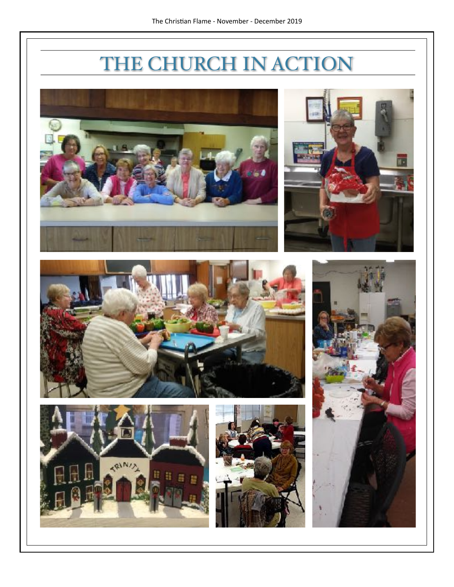# THE CHURCH IN ACTION

![](_page_9_Picture_2.jpeg)

![](_page_9_Picture_3.jpeg)

![](_page_9_Picture_4.jpeg)

![](_page_9_Picture_5.jpeg)

![](_page_9_Picture_6.jpeg)

![](_page_9_Picture_7.jpeg)